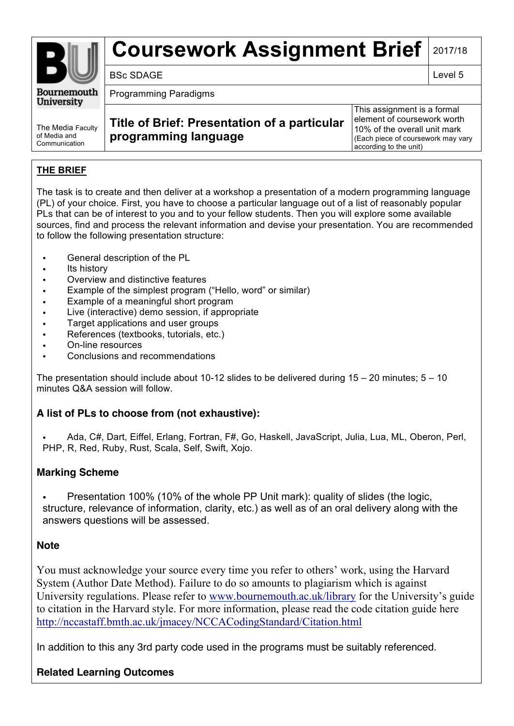# **Coursework Assignment Brief** 2017/18

BSc SDAGE Level 5

**Bournemouth University** 

Programming Paradigms

The Media Faculty of Media and **Communication** 

**Title of Brief: Presentation of a particular programming language**

This assignment is a formal element of coursework worth 10% of the overall unit mark (Each piece of coursework may vary according to the unit)

## **THE BRIEF**

The task is to create and then deliver at a workshop a presentation of a modern programming language (PL) of your choice. First, you have to choose a particular language out of a list of reasonably popular PLs that can be of interest to you and to your fellow students. Then you will explore some available sources, find and process the relevant information and devise your presentation. You are recommended to follow the following presentation structure:

- General description of the PL
- Its history
- Overview and distinctive features
- Example of the simplest program ("Hello, word" or similar)
- Example of a meaningful short program
- Live (interactive) demo session, if appropriate
- Target applications and user groups
- References (textbooks, tutorials, etc.)
- On-line resources
- Conclusions and recommendations

The presentation should include about 10-12 slides to be delivered during 15 – 20 minutes; 5 – 10 minutes Q&A session will follow.

## **A list of PLs to choose from (not exhaustive):**

• Ada, C#, Dart, Eiffel, Erlang, Fortran, F#, Go, Haskell, JavaScript, Julia, Lua, ML, Oberon, Perl, PHP, R, Red, Ruby, Rust, Scala, Self, Swift, Xojo.

## **Marking Scheme**

• Presentation 100% (10% of the whole PP Unit mark): quality of slides (the logic, structure, relevance of information, clarity, etc.) as well as of an oral delivery along with the answers questions will be assessed.

## **Note**

You must acknowledge your source every time you refer to others' work, using the Harvard System (Author Date Method). Failure to do so amounts to plagiarism which is against University regulations. Please refer to www.bournemouth.ac.uk/library for the University's guide to citation in the Harvard style. For more information, please read the code citation guide here http://nccastaff.bmth.ac.uk/jmacey/NCCACodingStandard/Citation.html

In addition to this any 3rd party code used in the programs must be suitably referenced.

# **Related Learning Outcomes**